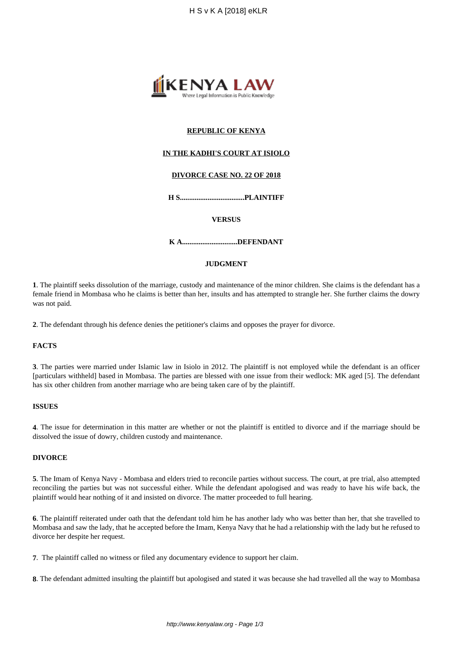

# **REPUBLIC OF KENYA**

### **IN THE KADHI'S COURT AT ISIOLO**

## **DIVORCE CASE NO. 22 OF 2018**

**H S...................................PLAINTIFF**

#### **VERSUS**

**K A..............................DEFENDANT**

# **JUDGMENT**

**1**. The plaintiff seeks dissolution of the marriage, custody and maintenance of the minor children. She claims is the defendant has a female friend in Mombasa who he claims is better than her, insults and has attempted to strangle her. She further claims the dowry was not paid.

**2**. The defendant through his defence denies the petitioner's claims and opposes the prayer for divorce.

#### **FACTS**

**3**. The parties were married under Islamic law in Isiolo in 2012. The plaintiff is not employed while the defendant is an officer [particulars withheld] based in Mombasa. The parties are blessed with one issue from their wedlock: MK aged [5]. The defendant has six other children from another marriage who are being taken care of by the plaintiff.

#### **ISSUES**

**4**. The issue for determination in this matter are whether or not the plaintiff is entitled to divorce and if the marriage should be dissolved the issue of dowry, children custody and maintenance.

#### **DIVORCE**

**5**. The Imam of Kenya Navy - Mombasa and elders tried to reconcile parties without success. The court, at pre trial, also attempted reconciling the parties but was not successful either. While the defendant apologised and was ready to have his wife back, the plaintiff would hear nothing of it and insisted on divorce. The matter proceeded to full hearing.

**6**. The plaintiff reiterated under oath that the defendant told him he has another lady who was better than her, that she travelled to Mombasa and saw the lady, that he accepted before the Imam, Kenya Navy that he had a relationship with the lady but he refused to divorce her despite her request.

**7**. The plaintiff called no witness or filed any documentary evidence to support her claim.

**8**. The defendant admitted insulting the plaintiff but apologised and stated it was because she had travelled all the way to Mombasa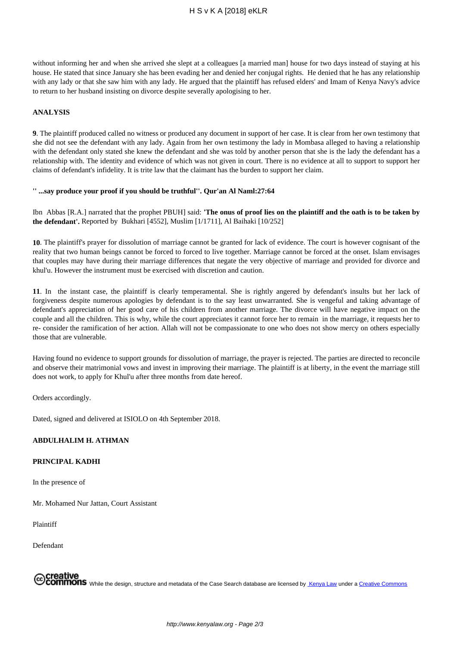without informing her and when she arrived she slept at a colleagues [a married man] house for two days instead of staying at his house. He stated that since January she has been evading her and denied her conjugal rights. He denied that he has any relationship with any lady or that she saw him with any lady. He argued that the plaintiff has refused elders' and Imam of Kenya Navy's advice to return to her husband insisting on divorce despite severally apologising to her.

#### **ANALYSIS**

**9**. The plaintiff produced called no witness or produced any document in support of her case. It is clear from her own testimony that she did not see the defendant with any lady. Again from her own testimony the lady in Mombasa alleged to having a relationship with the defendant only stated she knew the defendant and she was told by another person that she is the lady the defendant has a relationship with. The identity and evidence of which was not given in court. There is no evidence at all to support to support her claims of defendant's infidelity. It is trite law that the claimant has the burden to support her claim.

### **'' ...say produce your proof if you should be truthful''. Qur'an Al Naml:27:64**

Ibn Abbas [R.A.] narrated that the prophet PBUH] said: **'The onus of proof lies on the plaintiff and the oath is to be taken by the defendant'.** Reported by Bukhari [4552], Muslim [1/1711], Al Baihaki [10/252]

**10**. The plaintiff's prayer for dissolution of marriage cannot be granted for lack of evidence. The court is however cognisant of the reality that two human beings cannot be forced to forced to live together. Marriage cannot be forced at the onset. Islam envisages that couples may have during their marriage differences that negate the very objective of marriage and provided for divorce and khul'u. However the instrument must be exercised with discretion and caution.

**11**. In the instant case, the plaintiff is clearly temperamental. She is rightly angered by defendant's insults but her lack of forgiveness despite numerous apologies by defendant is to the say least unwarranted. She is vengeful and taking advantage of defendant's appreciation of her good care of his children from another marriage. The divorce will have negative impact on the couple and all the children. This is why, while the court appreciates it cannot force her to remain in the marriage, it requests her to re- consider the ramification of her action. Allah will not be compassionate to one who does not show mercy on others especially those that are vulnerable.

Having found no evidence to support grounds for dissolution of marriage, the prayer is rejected. The parties are directed to reconcile and observe their matrimonial vows and invest in improving their marriage. The plaintiff is at liberty, in the event the marriage still does not work, to apply for Khul'u after three months from date hereof.

Orders accordingly.

Dated, signed and delivered at ISIOLO on 4th September 2018.

# **ABDULHALIM H. ATHMAN**

### **PRINCIPAL KADHI**

In the presence of

Mr. Mohamed Nur Jattan, Court Assistant

Plaintiff

Defendant

**,Creative**<br>/**COMMONS** While the design, structure and metadata of the Case Search database are licensed by <u>Kenya Law</u> under a <u>Creative Commons</u>